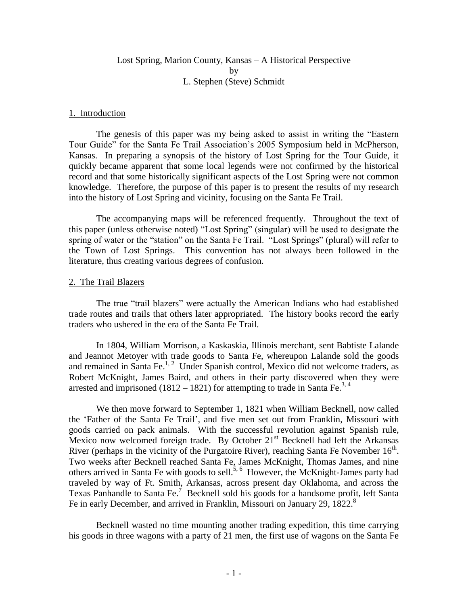# Lost Spring, Marion County, Kansas – A Historical Perspective by L. Stephen (Steve) Schmidt

#### 1. Introduction

The genesis of this paper was my being asked to assist in writing the "Eastern Tour Guide" for the Santa Fe Trail Association's 2005 Symposium held in McPherson, Kansas. In preparing a synopsis of the history of Lost Spring for the Tour Guide, it quickly became apparent that some local legends were not confirmed by the historical record and that some historically significant aspects of the Lost Spring were not common knowledge. Therefore, the purpose of this paper is to present the results of my research into the history of Lost Spring and vicinity, focusing on the Santa Fe Trail.

The accompanying maps will be referenced frequently. Throughout the text of this paper (unless otherwise noted) "Lost Spring" (singular) will be used to designate the spring of water or the "station" on the Santa Fe Trail. "Lost Springs" (plural) will refer to the Town of Lost Springs. This convention has not always been followed in the literature, thus creating various degrees of confusion.

#### 2. The Trail Blazers

The true "trail blazers" were actually the American Indians who had established trade routes and trails that others later appropriated. The history books record the early traders who ushered in the era of the Santa Fe Trail.

In 1804, William Morrison, a Kaskaskia, Illinois merchant, sent Babtiste Lalande and Jeannot Metoyer with trade goods to Santa Fe, whereupon Lalande sold the goods and remained in Santa Fe.<sup>1, 2</sup> Under Spanish control, Mexico did not welcome traders, as Robert McKnight, James Baird, and others in their party discovered when they were arrested and imprisoned  $(1812 - 1821)$  for attempting to trade in Santa Fe.<sup>3, 4</sup>

We then move forward to September 1, 1821 when William Becknell, now called the 'Father of the Santa Fe Trail', and five men set out from Franklin, Missouri with goods carried on pack animals. With the successful revolution against Spanish rule, Mexico now welcomed foreign trade. By October  $21<sup>st</sup>$  Becknell had left the Arkansas River (perhaps in the vicinity of the Purgatoire River), reaching Santa Fe November  $16<sup>th</sup>$ . Two weeks after Becknell reached Santa Fe, James McKnight, Thomas James, and nine others arrived in Santa Fe with goods to sell.<sup>5, 6</sup> However, the McKnight-James party had traveled by way of Ft. Smith, Arkansas, across present day Oklahoma, and across the Texas Panhandle to Santa Fe.<sup>7</sup> Becknell sold his goods for a handsome profit, left Santa Fe in early December, and arrived in Franklin, Missouri on January 29, 1822.<sup>8</sup>

Becknell wasted no time mounting another trading expedition, this time carrying his goods in three wagons with a party of 21 men, the first use of wagons on the Santa Fe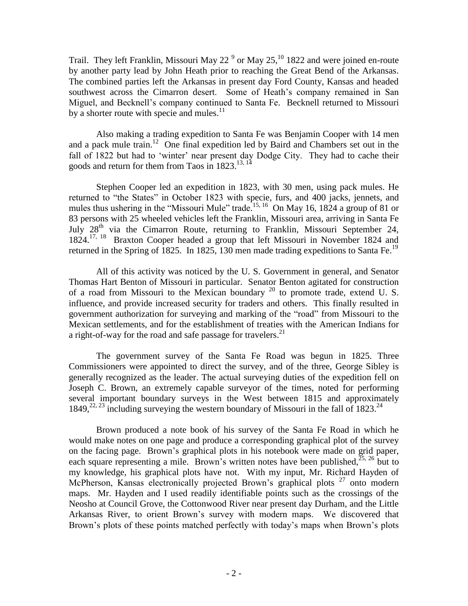Trail. They left Franklin, Missouri May 22<sup> $9$ </sup> or May 25,<sup>10</sup> 1822 and were joined en-route by another party lead by John Heath prior to reaching the Great Bend of the Arkansas. The combined parties left the Arkansas in present day Ford County, Kansas and headed southwest across the Cimarron desert. Some of Heath's company remained in San Miguel, and Becknell's company continued to Santa Fe. Becknell returned to Missouri by a shorter route with specie and mules.<sup>11</sup>

Also making a trading expedition to Santa Fe was Benjamin Cooper with 14 men and a pack mule train. <sup>12</sup> One final expedition led by Baird and Chambers set out in the fall of 1822 but had to 'winter' near present day Dodge City. They had to cache their goods and return for them from Taos in  $1823$ .<sup>13, 14</sup>

Stephen Cooper led an expedition in 1823, with 30 men, using pack mules. He returned to "the States" in October 1823 with specie, furs, and 400 jacks, jennets, and mules thus ushering in the "Missouri Mule" trade.<sup>15, 16</sup> On May 16, 1824 a group of 81 or 83 persons with 25 wheeled vehicles left the Franklin, Missouri area, arriving in Santa Fe July  $28<sup>th</sup>$  via the Cimarron Route, returning to Franklin, Missouri September 24, 1824.<sup>17, 18</sup> Braxton Cooper headed a group that left Missouri in November 1824 and returned in the Spring of 1825. In 1825, 130 men made trading expeditions to Santa Fe.<sup>19</sup>

All of this activity was noticed by the U. S. Government in general, and Senator Thomas Hart Benton of Missouri in particular. Senator Benton agitated for construction of a road from Missouri to the Mexican boundary  $^{20}$  to promote trade, extend U. S. influence, and provide increased security for traders and others. This finally resulted in government authorization for surveying and marking of the "road" from Missouri to the Mexican settlements, and for the establishment of treaties with the American Indians for a right-of-way for the road and safe passage for travelers.<sup>21</sup>

The government survey of the Santa Fe Road was begun in 1825. Three Commissioners were appointed to direct the survey, and of the three, George Sibley is generally recognized as the leader. The actual surveying duties of the expedition fell on Joseph C. Brown, an extremely capable surveyor of the times, noted for performing several important boundary surveys in the West between 1815 and approximately 1849,<sup>22, 23</sup> including surveying the western boundary of Missouri in the fall of 1823.<sup>24</sup>

Brown produced a note book of his survey of the Santa Fe Road in which he would make notes on one page and produce a corresponding graphical plot of the survey on the facing page. Brown's graphical plots in his notebook were made on grid paper, each square representing a mile. Brown's written notes have been published,  $^{25, 26}$  but to my knowledge, his graphical plots have not. With my input, Mr. Richard Hayden of McPherson, Kansas electronically projected Brown's graphical plots<sup>27</sup> onto modern maps. Mr. Hayden and I used readily identifiable points such as the crossings of the Neosho at Council Grove, the Cottonwood River near present day Durham, and the Little Arkansas River, to orient Brown's survey with modern maps. We discovered that Brown's plots of these points matched perfectly with today's maps when Brown's plots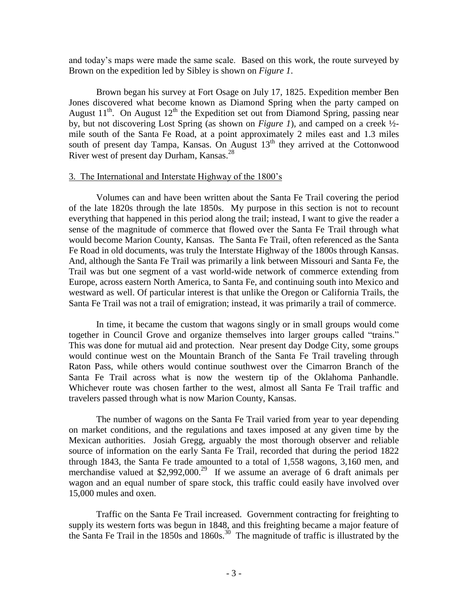and today's maps were made the same scale. Based on this work, the route surveyed by Brown on the expedition led by Sibley is shown on *Figure 1*.

Brown began his survey at Fort Osage on July 17, 1825. Expedition member Ben Jones discovered what become known as Diamond Spring when the party camped on August  $11<sup>th</sup>$ . On August  $12<sup>th</sup>$  the Expedition set out from Diamond Spring, passing near by, but not discovering Lost Spring (as shown on *Figure 1*), and camped on a creek ½ mile south of the Santa Fe Road, at a point approximately 2 miles east and 1.3 miles south of present day Tampa, Kansas. On August  $13<sup>th</sup>$  they arrived at the Cottonwood River west of present day Durham, Kansas.<sup>28</sup>

#### 3. The International and Interstate Highway of the 1800's

Volumes can and have been written about the Santa Fe Trail covering the period of the late 1820s through the late 1850s. My purpose in this section is not to recount everything that happened in this period along the trail; instead, I want to give the reader a sense of the magnitude of commerce that flowed over the Santa Fe Trail through what would become Marion County, Kansas. The Santa Fe Trail, often referenced as the Santa Fe Road in old documents, was truly the Interstate Highway of the 1800s through Kansas. And, although the Santa Fe Trail was primarily a link between Missouri and Santa Fe, the Trail was but one segment of a vast world-wide network of commerce extending from Europe, across eastern North America, to Santa Fe, and continuing south into Mexico and westward as well. Of particular interest is that unlike the Oregon or California Trails, the Santa Fe Trail was not a trail of emigration; instead, it was primarily a trail of commerce.

In time, it became the custom that wagons singly or in small groups would come together in Council Grove and organize themselves into larger groups called "trains." This was done for mutual aid and protection. Near present day Dodge City, some groups would continue west on the Mountain Branch of the Santa Fe Trail traveling through Raton Pass, while others would continue southwest over the Cimarron Branch of the Santa Fe Trail across what is now the western tip of the Oklahoma Panhandle. Whichever route was chosen farther to the west, almost all Santa Fe Trail traffic and travelers passed through what is now Marion County, Kansas.

The number of wagons on the Santa Fe Trail varied from year to year depending on market conditions, and the regulations and taxes imposed at any given time by the Mexican authorities. Josiah Gregg, arguably the most thorough observer and reliable source of information on the early Santa Fe Trail, recorded that during the period 1822 through 1843, the Santa Fe trade amounted to a total of 1,558 wagons, 3,160 men, and merchandise valued at \$2,992,000.<sup>29</sup> If we assume an average of 6 draft animals per wagon and an equal number of spare stock, this traffic could easily have involved over 15,000 mules and oxen.

Traffic on the Santa Fe Trail increased. Government contracting for freighting to supply its western forts was begun in 1848, and this freighting became a major feature of the Santa Fe Trail in the 1850s and 1860s. 30 The magnitude of traffic is illustrated by the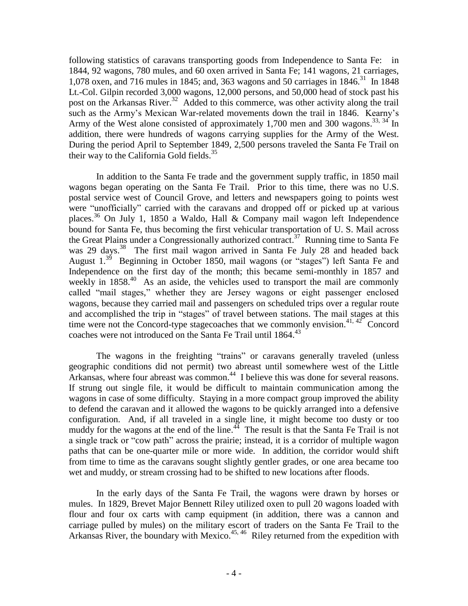following statistics of caravans transporting goods from Independence to Santa Fe: in 1844, 92 wagons, 780 mules, and 60 oxen arrived in Santa Fe; 141 wagons, 21 carriages, 1,078 oxen, and 716 mules in 1845; and, 363 wagons and 50 carriages in 1846. 31 In 1848 Lt.-Col. Gilpin recorded 3,000 wagons, 12,000 persons, and 50,000 head of stock past his post on the Arkansas River.<sup>32</sup> Added to this commerce, was other activity along the trail such as the Army's Mexican War-related movements down the trail in 1846. Kearny's Army of the West alone consisted of approximately 1,700 men and 300 wagons.<sup>33, 34</sup> In addition, there were hundreds of wagons carrying supplies for the Army of the West. During the period April to September 1849, 2,500 persons traveled the Santa Fe Trail on their way to the California Gold fields.<sup>35</sup>

In addition to the Santa Fe trade and the government supply traffic, in 1850 mail wagons began operating on the Santa Fe Trail. Prior to this time, there was no U.S. postal service west of Council Grove, and letters and newspapers going to points west were "unofficially" carried with the caravans and dropped off or picked up at various places.<sup>36</sup> On July 1, 1850 a Waldo, Hall & Company mail wagon left Independence bound for Santa Fe, thus becoming the first vehicular transportation of U. S. Mail across the Great Plains under a Congressionally authorized contract.<sup>37</sup> Running time to Santa Fe was 29 days.<sup>38</sup> The first mail wagon arrived in Santa Fe July 28 and headed back August  $1.^{39}$  Beginning in October 1850, mail wagons (or "stages") left Santa Fe and Independence on the first day of the month; this became semi-monthly in 1857 and weekly in 1858.<sup>40</sup> As an aside, the vehicles used to transport the mail are commonly called "mail stages," whether they are Jersey wagons or eight passenger enclosed wagons, because they carried mail and passengers on scheduled trips over a regular route and accomplished the trip in "stages" of travel between stations. The mail stages at this time were not the Concord-type stagecoaches that we commonly envision.<sup>41, 42</sup> Concord coaches were not introduced on the Santa Fe Trail until 1864. 43

The wagons in the freighting "trains" or caravans generally traveled (unless geographic conditions did not permit) two abreast until somewhere west of the Little Arkansas, where four abreast was common.<sup>44</sup> I believe this was done for several reasons. If strung out single file, it would be difficult to maintain communication among the wagons in case of some difficulty. Staying in a more compact group improved the ability to defend the caravan and it allowed the wagons to be quickly arranged into a defensive configuration. And, if all traveled in a single line, it might become too dusty or too muddy for the wagons at the end of the line. $44$  The result is that the Santa Fe Trail is not a single track or "cow path" across the prairie; instead, it is a corridor of multiple wagon paths that can be one-quarter mile or more wide. In addition, the corridor would shift from time to time as the caravans sought slightly gentler grades, or one area became too wet and muddy, or stream crossing had to be shifted to new locations after floods.

In the early days of the Santa Fe Trail, the wagons were drawn by horses or mules. In 1829, Brevet Major Bennett Riley utilized oxen to pull 20 wagons loaded with flour and four ox carts with camp equipment (in addition, there was a cannon and carriage pulled by mules) on the military escort of traders on the Santa Fe Trail to the Arkansas River, the boundary with Mexico.<sup>45, 46</sup> Riley returned from the expedition with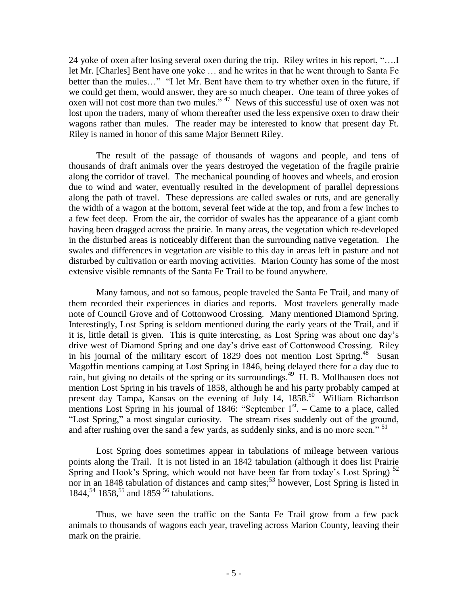24 yoke of oxen after losing several oxen during the trip. Riley writes in his report, "….I let Mr. [Charles] Bent have one yoke … and he writes in that he went through to Santa Fe better than the mules..." "I let Mr. Bent have them to try whether oxen in the future, if we could get them, would answer, they are so much cheaper. One team of three yokes of oxen will not cost more than two mules."<sup>47</sup> News of this successful use of oxen was not lost upon the traders, many of whom thereafter used the less expensive oxen to draw their wagons rather than mules. The reader may be interested to know that present day Ft. Riley is named in honor of this same Major Bennett Riley.

The result of the passage of thousands of wagons and people, and tens of thousands of draft animals over the years destroyed the vegetation of the fragile prairie along the corridor of travel. The mechanical pounding of hooves and wheels, and erosion due to wind and water, eventually resulted in the development of parallel depressions along the path of travel. These depressions are called swales or ruts, and are generally the width of a wagon at the bottom, several feet wide at the top, and from a few inches to a few feet deep. From the air, the corridor of swales has the appearance of a giant comb having been dragged across the prairie. In many areas, the vegetation which re-developed in the disturbed areas is noticeably different than the surrounding native vegetation. The swales and differences in vegetation are visible to this day in areas left in pasture and not disturbed by cultivation or earth moving activities. Marion County has some of the most extensive visible remnants of the Santa Fe Trail to be found anywhere.

Many famous, and not so famous, people traveled the Santa Fe Trail, and many of them recorded their experiences in diaries and reports. Most travelers generally made note of Council Grove and of Cottonwood Crossing. Many mentioned Diamond Spring. Interestingly, Lost Spring is seldom mentioned during the early years of the Trail, and if it is, little detail is given. This is quite interesting, as Lost Spring was about one day's drive west of Diamond Spring and one day's drive east of Cottonwood Crossing. Riley in his journal of the military escort of 1829 does not mention Lost Spring.<sup>48</sup> Susan Magoffin mentions camping at Lost Spring in 1846, being delayed there for a day due to rain, but giving no details of the spring or its surroundings.<sup>49</sup> H. B. Mollhausen does not mention Lost Spring in his travels of 1858, although he and his party probably camped at present day Tampa, Kansas on the evening of July 14, 1858.<sup>50</sup> William Richardson mentions Lost Spring in his journal of  $1846$ : "September  $1<sup>st</sup>$ . – Came to a place, called "Lost Spring," a most singular curiosity. The stream rises suddenly out of the ground, and after rushing over the sand a few yards, as suddenly sinks, and is no more seen."<sup>51</sup>

Lost Spring does sometimes appear in tabulations of mileage between various points along the Trail. It is not listed in an 1842 tabulation (although it does list Prairie Spring and Hook's Spring, which would not have been far from today's Lost Spring)  $^{52}$ nor in an 1848 tabulation of distances and camp sites; <sup>53</sup> however, Lost Spring is listed in 1844,<sup>54</sup> 1858,<sup>55</sup> and 1859<sup>56</sup> tabulations.

Thus, we have seen the traffic on the Santa Fe Trail grow from a few pack animals to thousands of wagons each year, traveling across Marion County, leaving their mark on the prairie.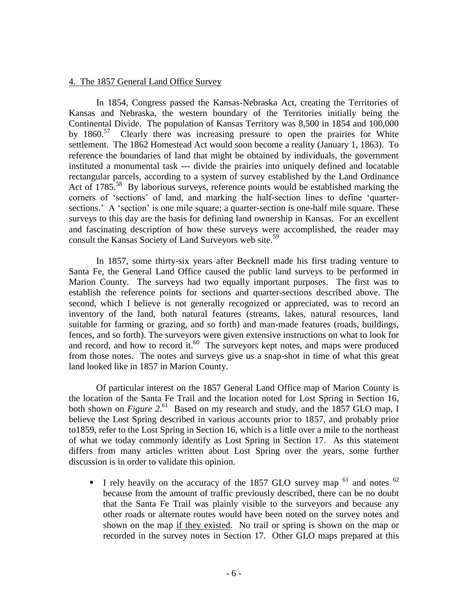#### 4. The 1857 General Land Office Survey

In 1854, Congress passed the Kansas-Nebraska Act, creating the Territories of Kansas and Nebraska, the western boundary of the Territories initially being the Continental Divide. The population of Kansas Territory was 8,500 in 1854 and 100,000 by 1860.<sup>57</sup> Clearly there was increasing pressure to open the prairies for White settlement. The 1862 Homestead Act would soon become a reality (January 1, 1863). To reference the boundaries of land that might be obtained by individuals, the government instituted a monumental task --- divide the prairies into uniquely defined and locatable rectangular parcels, according to a system of survey established by the Land Ordinance Act of 1785.<sup>58</sup> By laborious surveys, reference points would be established marking the corners of 'sections' of land, and marking the half-section lines to define 'quartersections.' A 'section' is one mile square; a quarter-section is one-half mile square. These surveys to this day are the basis for defining land ownership in Kansas. For an excellent and fascinating description of how these surveys were accomplished, the reader may consult the Kansas Society of Land Surveyors web site.<sup>59</sup>

In 1857, some thirty-six years after Becknell made his first trading venture to Santa Fe, the General Land Office caused the public land surveys to be performed in Marion County. The surveys had two equally important purposes. The first was to establish the reference points for sections and quarter-sections described above. The second, which I believe is not generally recognized or appreciated, was to record an inventory of the land, both natural features (streams, lakes, natural resources, land suitable for farming or grazing, and so forth) and man-made features (roads, buildings, fences, and so forth). The surveyors were given extensive instructions on what to look for and record, and how to record it. $60$  The surveyors kept notes, and maps were produced from those notes. The notes and surveys give us a snap-shot in time of what this great land looked like in 1857 in Marion County.

Of particular interest on the 1857 General Land Office map of Marion County is the location of the Santa Fe Trail and the location noted for Lost Spring in Section 16, both shown on *Figure* 2.<sup>61</sup> Based on my research and study, and the 1857 GLO map, I believe the Lost Spring described in various accounts prior to 1857, and probably prior to1859, refer to the Lost Spring in Section 16, which is a little over a mile to the northeast of what we today commonly identify as Lost Spring in Section 17. As this statement differs from many articles written about Lost Spring over the years, some further discussion is in order to validate this opinion.

I rely heavily on the accuracy of the 1857 GLO survey map  $^{61}$  and notes  $^{62}$ because from the amount of traffic previously described, there can be no doubt that the Santa Fe Trail was plainly visible to the surveyors and because any other roads or alternate routes would have been noted on the survey notes and shown on the map if they existed. No trail or spring is shown on the map or recorded in the survey notes in Section 17. Other GLO maps prepared at this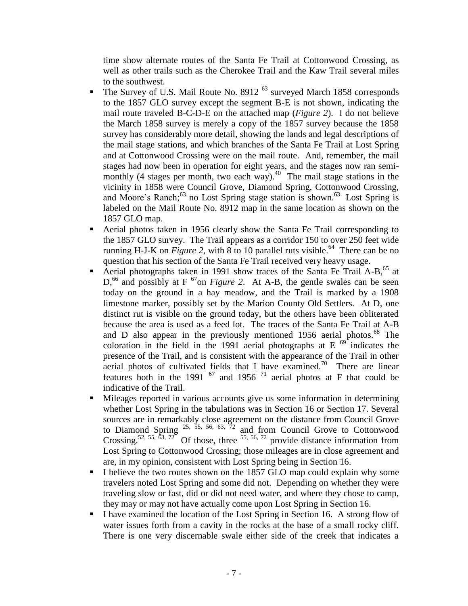time show alternate routes of the Santa Fe Trail at Cottonwood Crossing, as well as other trails such as the Cherokee Trail and the Kaw Trail several miles to the southwest.

- The Survey of U.S. Mail Route No. 8912<sup>63</sup> surveyed March 1858 corresponds to the 1857 GLO survey except the segment B-E is not shown, indicating the mail route traveled B-C-D-E on the attached map (*Figure 2*). I do not believe the March 1858 survey is merely a copy of the 1857 survey because the 1858 survey has considerably more detail, showing the lands and legal descriptions of the mail stage stations, and which branches of the Santa Fe Trail at Lost Spring and at Cottonwood Crossing were on the mail route. And, remember, the mail stages had now been in operation for eight years, and the stages now ran semimonthly (4 stages per month, two each way). $40$  The mail stage stations in the vicinity in 1858 were Council Grove, Diamond Spring, Cottonwood Crossing, and Moore's Ranch;<sup>63</sup> no Lost Spring stage station is shown.<sup>63</sup> Lost Spring is labeled on the Mail Route No. 8912 map in the same location as shown on the 1857 GLO map.
- Aerial photos taken in 1956 clearly show the Santa Fe Trail corresponding to the 1857 GLO survey. The Trail appears as a corridor 150 to over 250 feet wide running H-J-K on *Figure 2*, with 8 to 10 parallel ruts visible.<sup>64</sup> There can be no question that his section of the Santa Fe Trail received very heavy usage.
- **Aerial photographs taken in 1991 show traces of the Santa Fe Trail A-B**<sup>65</sup> at  $D<sub>1</sub><sup>66</sup>$  and possibly at F<sup>67</sup>on *Figure 2*. At A-B, the gentle swales can be seen today on the ground in a hay meadow, and the Trail is marked by a 1908 limestone marker, possibly set by the Marion County Old Settlers. At D, one distinct rut is visible on the ground today, but the others have been obliterated because the area is used as a feed lot. The traces of the Santa Fe Trail at A-B and D also appear in the previously mentioned 1956 aerial photos. $^{68}$  The coloration in the field in the 1991 aerial photographs at E  $^{69}$  indicates the presence of the Trail, and is consistent with the appearance of the Trail in other aerial photos of cultivated fields that I have examined.<sup>70</sup> There are linear features both in the 1991  $^{67}$  and 1956  $^{71}$  aerial photos at F that could be indicative of the Trail.
- Mileages reported in various accounts give us some information in determining whether Lost Spring in the tabulations was in Section 16 or Section 17. Several sources are in remarkably close agreement on the distance from Council Grove to Diamond Spring  $25, 55, 56, 63, 72$  and from Council Grove to Cottonwood Crossing.<sup>52, 55,  $\delta$ 3, 72</sub> Of those, three <sup>55, 56, 72</sup> provide distance information from</sup> Lost Spring to Cottonwood Crossing; those mileages are in close agreement and are, in my opinion, consistent with Lost Spring being in Section 16.
- I believe the two routes shown on the 1857 GLO map could explain why some travelers noted Lost Spring and some did not. Depending on whether they were traveling slow or fast, did or did not need water, and where they chose to camp, they may or may not have actually come upon Lost Spring in Section 16.
- I have examined the location of the Lost Spring in Section 16. A strong flow of water issues forth from a cavity in the rocks at the base of a small rocky cliff. There is one very discernable swale either side of the creek that indicates a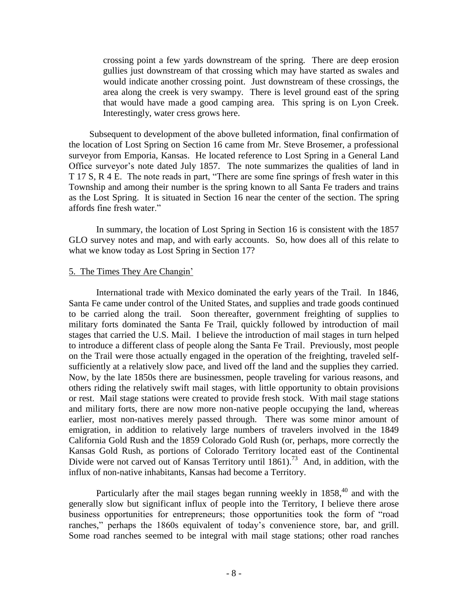crossing point a few yards downstream of the spring. There are deep erosion gullies just downstream of that crossing which may have started as swales and would indicate another crossing point. Just downstream of these crossings, the area along the creek is very swampy. There is level ground east of the spring that would have made a good camping area. This spring is on Lyon Creek. Interestingly, water cress grows here.

Subsequent to development of the above bulleted information, final confirmation of the location of Lost Spring on Section 16 came from Mr. Steve Brosemer, a professional surveyor from Emporia, Kansas. He located reference to Lost Spring in a General Land Office surveyor's note dated July 1857. The note summarizes the qualities of land in T 17 S, R 4 E. The note reads in part, "There are some fine springs of fresh water in this Township and among their number is the spring known to all Santa Fe traders and trains as the Lost Spring. It is situated in Section 16 near the center of the section. The spring affords fine fresh water."

In summary, the location of Lost Spring in Section 16 is consistent with the 1857 GLO survey notes and map, and with early accounts. So, how does all of this relate to what we know today as Lost Spring in Section 17?

# 5. The Times They Are Changin'

International trade with Mexico dominated the early years of the Trail. In 1846, Santa Fe came under control of the United States, and supplies and trade goods continued to be carried along the trail. Soon thereafter, government freighting of supplies to military forts dominated the Santa Fe Trail, quickly followed by introduction of mail stages that carried the U.S. Mail. I believe the introduction of mail stages in turn helped to introduce a different class of people along the Santa Fe Trail. Previously, most people on the Trail were those actually engaged in the operation of the freighting, traveled selfsufficiently at a relatively slow pace, and lived off the land and the supplies they carried. Now, by the late 1850s there are businessmen, people traveling for various reasons, and others riding the relatively swift mail stages, with little opportunity to obtain provisions or rest. Mail stage stations were created to provide fresh stock. With mail stage stations and military forts, there are now more non-native people occupying the land, whereas earlier, most non-natives merely passed through. There was some minor amount of emigration, in addition to relatively large numbers of travelers involved in the 1849 California Gold Rush and the 1859 Colorado Gold Rush (or, perhaps, more correctly the Kansas Gold Rush, as portions of Colorado Territory located east of the Continental Divide were not carved out of Kansas Territory until 1861).<sup>73</sup> And, in addition, with the influx of non-native inhabitants, Kansas had become a Territory.

Particularly after the mail stages began running weekly in 1858,<sup>40</sup> and with the generally slow but significant influx of people into the Territory, I believe there arose business opportunities for entrepreneurs; those opportunities took the form of "road ranches," perhaps the 1860s equivalent of today's convenience store, bar, and grill. Some road ranches seemed to be integral with mail stage stations; other road ranches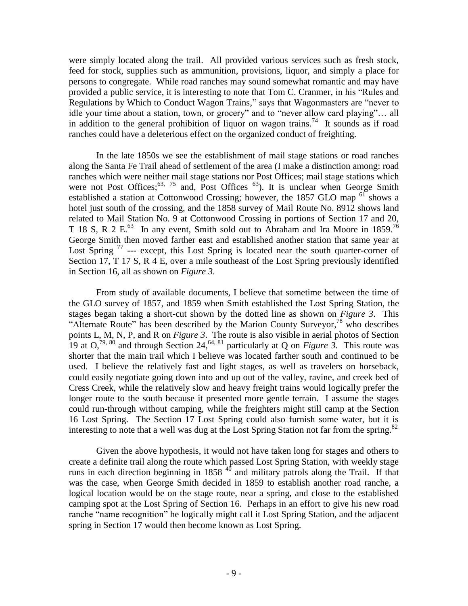were simply located along the trail. All provided various services such as fresh stock, feed for stock, supplies such as ammunition, provisions, liquor, and simply a place for persons to congregate. While road ranches may sound somewhat romantic and may have provided a public service, it is interesting to note that Tom C. Cranmer, in his "Rules and Regulations by Which to Conduct Wagon Trains," says that Wagonmasters are "never to idle your time about a station, town, or grocery" and to "never allow card playing"… all in addition to the general prohibition of liquor on wagon trains.<sup>74</sup> It sounds as if road ranches could have a deleterious effect on the organized conduct of freighting.

In the late 1850s we see the establishment of mail stage stations or road ranches along the Santa Fe Trail ahead of settlement of the area (I make a distinction among: road ranches which were neither mail stage stations nor Post Offices; mail stage stations which were not Post Offices;<sup>63, 75</sup> and, Post Offices<sup>63</sup>). It is unclear when George Smith established a station at Cottonwood Crossing; however, the 1857 GLO map <sup>61</sup> shows a hotel just south of the crossing, and the 1858 survey of Mail Route No. 8912 shows land related to Mail Station No. 9 at Cottonwood Crossing in portions of Section 17 and 20, T 18 S, R 2 E. $^{63}$  In any event, Smith sold out to Abraham and Ira Moore in 1859.<sup>76</sup> George Smith then moved farther east and established another station that same year at Lost Spring  $77$  --- except, this Lost Spring is located near the south quarter-corner of Section 17, T 17 S, R 4 E, over a mile southeast of the Lost Spring previously identified in Section 16, all as shown on *Figure 3*.

From study of available documents, I believe that sometime between the time of the GLO survey of 1857, and 1859 when Smith established the Lost Spring Station, the stages began taking a short-cut shown by the dotted line as shown on *Figure 3*. This "Alternate Route" has been described by the Marion County Surveyor,<sup>78</sup> who describes points L, M, N, P, and R on *Figure 3*. The route is also visible in aerial photos of Section 19 at  $O<sub>1</sub><sup>79, 80</sup>$  and through Section 24,<sup>64, 81</sup> particularly at Q on *Figure 3*. This route was shorter that the main trail which I believe was located farther south and continued to be used. I believe the relatively fast and light stages, as well as travelers on horseback, could easily negotiate going down into and up out of the valley, ravine, and creek bed of Cress Creek, while the relatively slow and heavy freight trains would logically prefer the longer route to the south because it presented more gentle terrain. I assume the stages could run-through without camping, while the freighters might still camp at the Section 16 Lost Spring. The Section 17 Lost Spring could also furnish some water, but it is interesting to note that a well was dug at the Lost Spring Station not far from the spring.<sup>82</sup>

Given the above hypothesis, it would not have taken long for stages and others to create a definite trail along the route which passed Lost Spring Station, with weekly stage runs in each direction beginning in  $1858<sup>40</sup>$  and military patrols along the Trail. If that was the case, when George Smith decided in 1859 to establish another road ranche, a logical location would be on the stage route, near a spring, and close to the established camping spot at the Lost Spring of Section 16. Perhaps in an effort to give his new road ranche "name recognition" he logically might call it Lost Spring Station, and the adjacent spring in Section 17 would then become known as Lost Spring.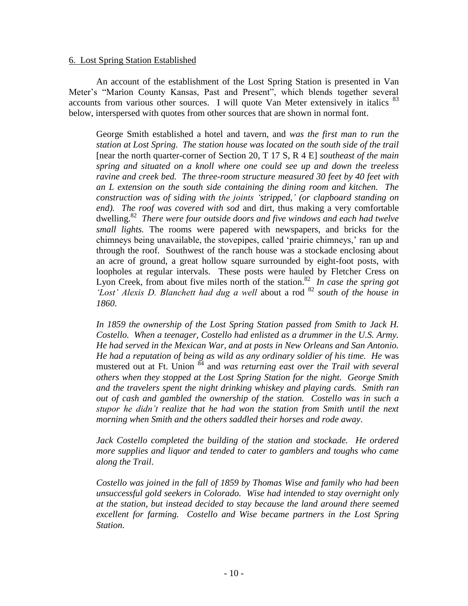#### 6. Lost Spring Station Established

An account of the establishment of the Lost Spring Station is presented in Van Meter's "Marion County Kansas, Past and Present", which blends together several accounts from various other sources. I will quote Van Meter extensively in italics  $83$ below, interspersed with quotes from other sources that are shown in normal font.

George Smith established a hotel and tavern, and *was the first man to run the station at Lost Spring. The station house was located on the south side of the trail* [near the north quarter-corner of Section 20, T 17 S, R 4 E] *southeast of the main spring and situated on a knoll where one could see up and down the treeless ravine and creek bed. The three-room structure measured 30 feet by 40 feet with an L extension on the south side containing the dining room and kitchen. The construction was of siding with the joints 'stripped,' (or clapboard standing on end). The roof was covered with sod* and dirt, thus making a very comfortable dwelling.<sup>82</sup> There were four outside doors and five windows and each had twelve *small lights.* The rooms were papered with newspapers, and bricks for the chimneys being unavailable, the stovepipes, called 'prairie chimneys,' ran up and through the roof. Southwest of the ranch house was a stockade enclosing about an acre of ground, a great hollow square surrounded by eight-foot posts, with loopholes at regular intervals. These posts were hauled by Fletcher Cress on Lyon Creek, from about five miles north of the station.<sup>82</sup> In case the spring got *'Lost' Alexis D. Blanchett had dug a well* about a rod <sup>82</sup> *south of the house in 1860*.

*In 1859 the ownership of the Lost Spring Station passed from Smith to Jack H. Costello. When a teenager, Costello had enlisted as a drummer in the U.S. Army. He had served in the Mexican War, and at posts in New Orleans and San Antonio. He had a reputation of being as wild as any ordinary soldier of his time. He* was mustered out at Ft. Union <sup>84</sup> and *was returning east over the Trail with several others when they stopped at the Lost Spring Station for the night. George Smith and the travelers spent the night drinking whiskey and playing cards. Smith ran out of cash and gambled the ownership of the station. Costello was in such a stupor he didn't realize that he had won the station from Smith until the next morning when Smith and the others saddled their horses and rode away*.

*Jack Costello completed the building of the station and stockade. He ordered more supplies and liquor and tended to cater to gamblers and toughs who came along the Trail*.

*Costello was joined in the fall of 1859 by Thomas Wise and family who had been unsuccessful gold seekers in Colorado. Wise had intended to stay overnight only at the station, but instead decided to stay because the land around there seemed excellent for farming. Costello and Wise became partners in the Lost Spring Station*.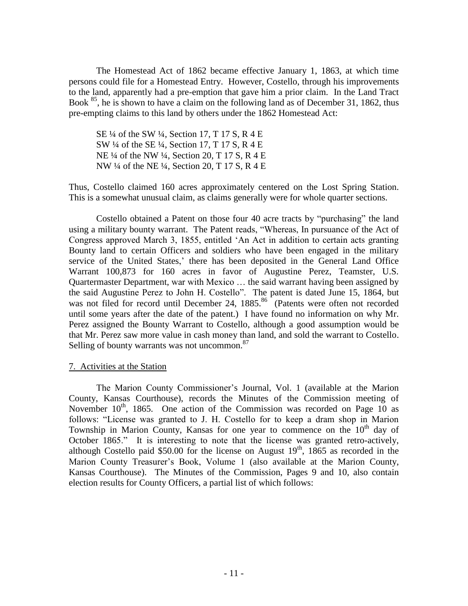The Homestead Act of 1862 became effective January 1, 1863, at which time persons could file for a Homestead Entry. However, Costello, through his improvements to the land, apparently had a pre-emption that gave him a prior claim. In the Land Tract Book <sup>85</sup>, he is shown to have a claim on the following land as of December 31, 1862, thus pre-empting claims to this land by others under the 1862 Homestead Act:

SE ¼ of the SW ¼, Section 17, T 17 S, R 4 E SW ¼ of the SE ¼, Section 17, T 17 S, R 4 E NE ¼ of the NW ¼, Section 20, T 17 S, R 4 E NW ¼ of the NE ¼, Section 20, T 17 S, R 4 E

Thus, Costello claimed 160 acres approximately centered on the Lost Spring Station. This is a somewhat unusual claim, as claims generally were for whole quarter sections.

Costello obtained a Patent on those four 40 acre tracts by "purchasing" the land using a military bounty warrant. The Patent reads, "Whereas, In pursuance of the Act of Congress approved March 3, 1855, entitled 'An Act in addition to certain acts granting Bounty land to certain Officers and soldiers who have been engaged in the military service of the United States,' there has been deposited in the General Land Office Warrant 100,873 for 160 acres in favor of Augustine Perez, Teamster, U.S. Quartermaster Department, war with Mexico … the said warrant having been assigned by the said Augustine Perez to John H. Costello". The patent is dated June 15, 1864, but was not filed for record until December 24, 1885.<sup>86</sup> (Patents were often not recorded until some years after the date of the patent.) I have found no information on why Mr. Perez assigned the Bounty Warrant to Costello, although a good assumption would be that Mr. Perez saw more value in cash money than land, and sold the warrant to Costello. Selling of bounty warrants was not uncommon. $87$ 

# 7. Activities at the Station

The Marion County Commissioner's Journal, Vol. 1 (available at the Marion County, Kansas Courthouse), records the Minutes of the Commission meeting of November  $10^{th}$ , 1865. One action of the Commission was recorded on Page 10 as follows: "License was granted to J. H. Costello for to keep a dram shop in Marion Township in Marion County, Kansas for one year to commence on the  $10<sup>th</sup>$  day of October 1865." It is interesting to note that the license was granted retro-actively, although Costello paid \$50.00 for the license on August  $19<sup>th</sup>$ , 1865 as recorded in the Marion County Treasurer's Book, Volume 1 (also available at the Marion County, Kansas Courthouse). The Minutes of the Commission, Pages 9 and 10, also contain election results for County Officers, a partial list of which follows: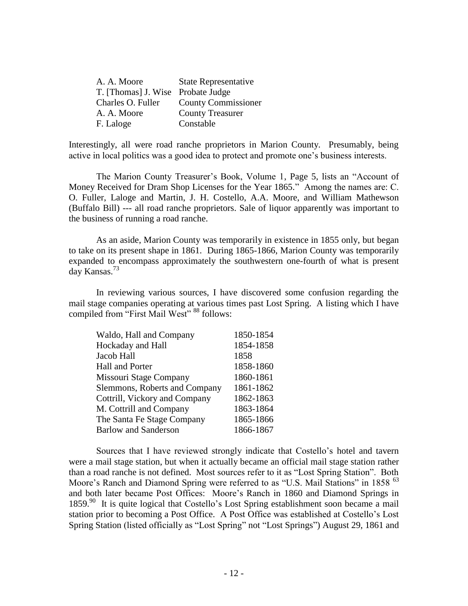| <b>State Representative</b>       |
|-----------------------------------|
| T. [Thomas] J. Wise Probate Judge |
| <b>County Commissioner</b>        |
| <b>County Treasurer</b>           |
| Constable                         |
|                                   |

Interestingly, all were road ranche proprietors in Marion County. Presumably, being active in local politics was a good idea to protect and promote one's business interests.

The Marion County Treasurer's Book, Volume 1, Page 5, lists an "Account of Money Received for Dram Shop Licenses for the Year 1865." Among the names are: C. O. Fuller, Laloge and Martin, J. H. Costello, A.A. Moore, and William Mathewson (Buffalo Bill) --- all road ranche proprietors. Sale of liquor apparently was important to the business of running a road ranche.

As an aside, Marion County was temporarily in existence in 1855 only, but began to take on its present shape in 1861. During 1865-1866, Marion County was temporarily expanded to encompass approximately the southwestern one-fourth of what is present day Kansas.<sup>73</sup>

In reviewing various sources, I have discovered some confusion regarding the mail stage companies operating at various times past Lost Spring. A listing which I have compiled from "First Mail West" <sup>88</sup> follows:

| 1850-1854 |
|-----------|
| 1854-1858 |
| 1858      |
| 1858-1860 |
| 1860-1861 |
| 1861-1862 |
| 1862-1863 |
| 1863-1864 |
| 1865-1866 |
| 1866-1867 |
|           |

Sources that I have reviewed strongly indicate that Costello's hotel and tavern were a mail stage station, but when it actually became an official mail stage station rather than a road ranche is not defined. Most sources refer to it as "Lost Spring Station". Both Moore's Ranch and Diamond Spring were referred to as "U.S. Mail Stations" in 1858 <sup>63</sup> and both later became Post Offices: Moore's Ranch in 1860 and Diamond Springs in 1859.<sup>90</sup> It is quite logical that Costello's Lost Spring establishment soon became a mail station prior to becoming a Post Office. A Post Office was established at Costello's Lost Spring Station (listed officially as "Lost Spring" not "Lost Springs") August 29, 1861 and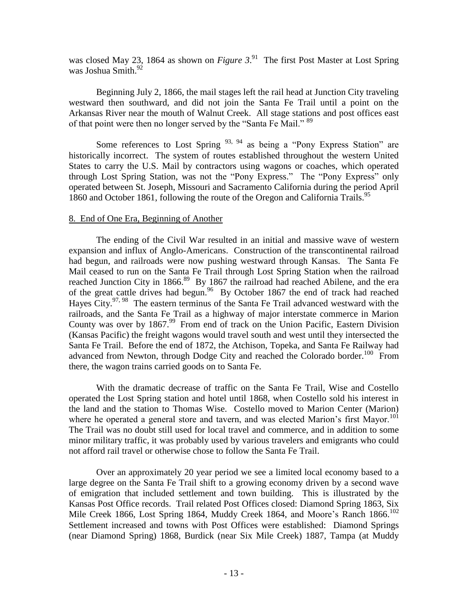was closed May 23, 1864 as shown on *Figure 3*.<sup>91</sup> The first Post Master at Lost Spring was Joshua Smith. $92$ 

Beginning July 2, 1866, the mail stages left the rail head at Junction City traveling westward then southward, and did not join the Santa Fe Trail until a point on the Arkansas River near the mouth of Walnut Creek. All stage stations and post offices east of that point were then no longer served by the "Santa Fe Mail." <sup>89</sup>

Some references to Lost Spring  $93, 94$  as being a "Pony Express Station" are historically incorrect. The system of routes established throughout the western United States to carry the U.S. Mail by contractors using wagons or coaches, which operated through Lost Spring Station, was not the "Pony Express." The "Pony Express" only operated between St. Joseph, Missouri and Sacramento California during the period April 1860 and October 1861, following the route of the Oregon and California Trails.<sup>95</sup>

# 8. End of One Era, Beginning of Another

The ending of the Civil War resulted in an initial and massive wave of western expansion and influx of Anglo-Americans. Construction of the transcontinental railroad had begun, and railroads were now pushing westward through Kansas. The Santa Fe Mail ceased to run on the Santa Fe Trail through Lost Spring Station when the railroad reached Junction City in 1866.<sup>89</sup> By 1867 the railroad had reached Abilene, and the era of the great cattle drives had begun.<sup>96</sup> By October 1867 the end of track had reached Hayes City.<sup>97, 98</sup> The eastern terminus of the Santa Fe Trail advanced westward with the railroads, and the Santa Fe Trail as a highway of major interstate commerce in Marion County was over by 1867.<sup>99</sup> From end of track on the Union Pacific, Eastern Division (Kansas Pacific) the freight wagons would travel south and west until they intersected the Santa Fe Trail. Before the end of 1872, the Atchison, Topeka, and Santa Fe Railway had advanced from Newton, through Dodge City and reached the Colorado border.<sup>100</sup> From there, the wagon trains carried goods on to Santa Fe.

With the dramatic decrease of traffic on the Santa Fe Trail, Wise and Costello operated the Lost Spring station and hotel until 1868, when Costello sold his interest in the land and the station to Thomas Wise. Costello moved to Marion Center (Marion) where he operated a general store and tavern, and was elected Marion's first Mayor.<sup>101</sup> The Trail was no doubt still used for local travel and commerce, and in addition to some minor military traffic, it was probably used by various travelers and emigrants who could not afford rail travel or otherwise chose to follow the Santa Fe Trail.

Over an approximately 20 year period we see a limited local economy based to a large degree on the Santa Fe Trail shift to a growing economy driven by a second wave of emigration that included settlement and town building. This is illustrated by the Kansas Post Office records. Trail related Post Offices closed: Diamond Spring 1863, Six Mile Creek 1866, Lost Spring 1864, Muddy Creek 1864, and Moore's Ranch 1866.<sup>102</sup> Settlement increased and towns with Post Offices were established: Diamond Springs (near Diamond Spring) 1868, Burdick (near Six Mile Creek) 1887, Tampa (at Muddy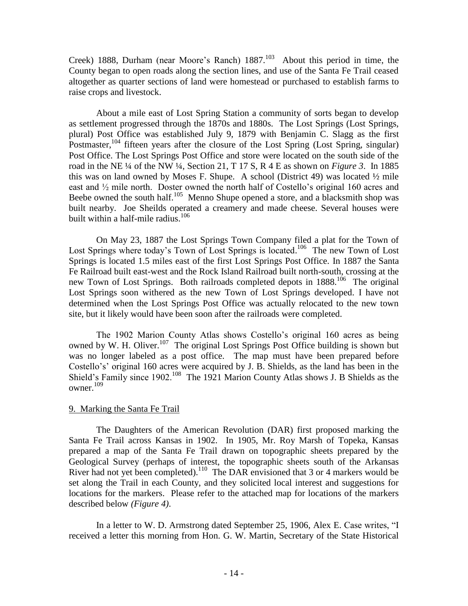Creek) 1888, Durham (near Moore's Ranch)  $1887$ <sup>103</sup> About this period in time, the County began to open roads along the section lines, and use of the Santa Fe Trail ceased altogether as quarter sections of land were homestead or purchased to establish farms to raise crops and livestock.

About a mile east of Lost Spring Station a community of sorts began to develop as settlement progressed through the 1870s and 1880s. The Lost Springs (Lost Springs, plural) Post Office was established July 9, 1879 with Benjamin C. Slagg as the first Postmaster,<sup>104</sup> fifteen years after the closure of the Lost Spring (Lost Spring, singular) Post Office. The Lost Springs Post Office and store were located on the south side of the road in the NE ¼ of the NW ¼, Section 21, T 17 S, R 4 E as shown on *Figure 3*. In 1885 this was on land owned by Moses F. Shupe. A school (District 49) was located  $\frac{1}{2}$  mile east and ½ mile north. Doster owned the north half of Costello's original 160 acres and Beebe owned the south half.<sup>105</sup> Menno Shupe opened a store, and a blacksmith shop was built nearby. Joe Sheilds operated a creamery and made cheese. Several houses were built within a half-mile radius.<sup>106</sup>

On May 23, 1887 the Lost Springs Town Company filed a plat for the Town of Lost Springs where today's Town of Lost Springs is located.<sup>106</sup> The new Town of Lost Springs is located 1.5 miles east of the first Lost Springs Post Office. In 1887 the Santa Fe Railroad built east-west and the Rock Island Railroad built north-south, crossing at the new Town of Lost Springs. Both railroads completed depots in 1888.<sup>106</sup> The original Lost Springs soon withered as the new Town of Lost Springs developed. I have not determined when the Lost Springs Post Office was actually relocated to the new town site, but it likely would have been soon after the railroads were completed.

The 1902 Marion County Atlas shows Costello's original 160 acres as being owned by W. H. Oliver.<sup>107</sup> The original Lost Springs Post Office building is shown but was no longer labeled as a post office. The map must have been prepared before Costello's' original 160 acres were acquired by J. B. Shields, as the land has been in the Shield's Family since  $1902$ .<sup>108</sup> The 1921 Marion County Atlas shows J. B Shields as the owner. $109$ 

# 9. Marking the Santa Fe Trail

The Daughters of the American Revolution (DAR) first proposed marking the Santa Fe Trail across Kansas in 1902. In 1905, Mr. Roy Marsh of Topeka, Kansas prepared a map of the Santa Fe Trail drawn on topographic sheets prepared by the Geological Survey (perhaps of interest, the topographic sheets south of the Arkansas River had not yet been completed).<sup>110</sup> The DAR envisioned that 3 or 4 markers would be set along the Trail in each County, and they solicited local interest and suggestions for locations for the markers. Please refer to the attached map for locations of the markers described below *(Figure 4)*.

In a letter to W. D. Armstrong dated September 25, 1906, Alex E. Case writes, "I received a letter this morning from Hon. G. W. Martin, Secretary of the State Historical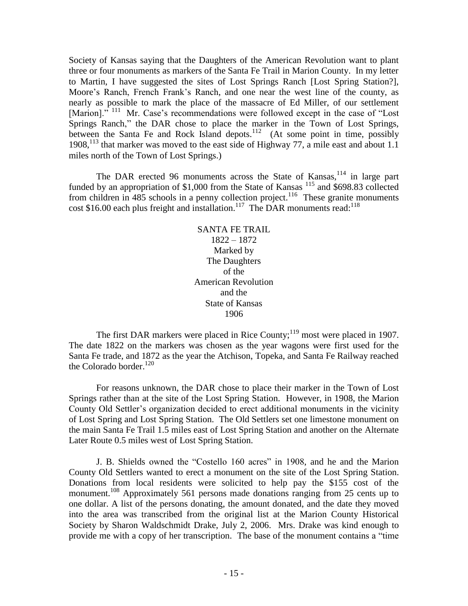Society of Kansas saying that the Daughters of the American Revolution want to plant three or four monuments as markers of the Santa Fe Trail in Marion County. In my letter to Martin, I have suggested the sites of Lost Springs Ranch [Lost Spring Station?], Moore's Ranch, French Frank's Ranch, and one near the west line of the county, as nearly as possible to mark the place of the massacre of Ed Miller, of our settlement [Marion]."<sup>111</sup> Mr. Case's recommendations were followed except in the case of "Lost" Springs Ranch," the DAR chose to place the marker in the Town of Lost Springs, between the Santa Fe and Rock Island depots.<sup>112</sup> (At some point in time, possibly 1908,<sup>113</sup> that marker was moved to the east side of Highway 77, a mile east and about 1.1 miles north of the Town of Lost Springs.)

The DAR erected 96 monuments across the State of Kansas,  $114$  in large part funded by an appropriation of \$1,000 from the State of Kansas<sup>115</sup> and \$698.83 collected from children in  $485$  schools in a penny collection project.<sup>116</sup> These granite monuments cost \$16.00 each plus freight and installation.<sup>117</sup> The DAR monuments read:<sup>118</sup>

> SANTA FE TRAIL 1822 – 1872 Marked by The Daughters of the American Revolution and the State of Kansas 1906

The first DAR markers were placed in Rice County;<sup>119</sup> most were placed in 1907. The date 1822 on the markers was chosen as the year wagons were first used for the Santa Fe trade, and 1872 as the year the Atchison, Topeka, and Santa Fe Railway reached the Colorado border.<sup>120</sup>

For reasons unknown, the DAR chose to place their marker in the Town of Lost Springs rather than at the site of the Lost Spring Station. However, in 1908, the Marion County Old Settler's organization decided to erect additional monuments in the vicinity of Lost Spring and Lost Spring Station. The Old Settlers set one limestone monument on the main Santa Fe Trail 1.5 miles east of Lost Spring Station and another on the Alternate Later Route 0.5 miles west of Lost Spring Station.

J. B. Shields owned the "Costello 160 acres" in 1908, and he and the Marion County Old Settlers wanted to erect a monument on the site of the Lost Spring Station. Donations from local residents were solicited to help pay the \$155 cost of the monument.<sup>108</sup> Approximately 561 persons made donations ranging from 25 cents up to one dollar. A list of the persons donating, the amount donated, and the date they moved into the area was transcribed from the original list at the Marion County Historical Society by Sharon Waldschmidt Drake, July 2, 2006. Mrs. Drake was kind enough to provide me with a copy of her transcription. The base of the monument contains a "time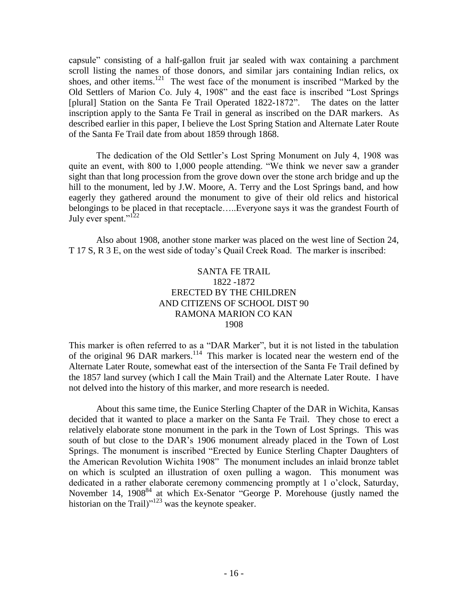capsule" consisting of a half-gallon fruit jar sealed with wax containing a parchment scroll listing the names of those donors, and similar jars containing Indian relics, ox shoes, and other items.<sup>121</sup> The west face of the monument is inscribed "Marked by the Old Settlers of Marion Co. July 4, 1908" and the east face is inscribed "Lost Springs [plural] Station on the Santa Fe Trail Operated 1822-1872". The dates on the latter inscription apply to the Santa Fe Trail in general as inscribed on the DAR markers. As described earlier in this paper, I believe the Lost Spring Station and Alternate Later Route of the Santa Fe Trail date from about 1859 through 1868.

The dedication of the Old Settler's Lost Spring Monument on July 4, 1908 was quite an event, with 800 to 1,000 people attending. "We think we never saw a grander sight than that long procession from the grove down over the stone arch bridge and up the hill to the monument, led by J.W. Moore, A. Terry and the Lost Springs band, and how eagerly they gathered around the monument to give of their old relics and historical belongings to be placed in that receptacle…..Everyone says it was the grandest Fourth of July ever spent."<sup>122</sup>

Also about 1908, another stone marker was placed on the west line of Section 24, T 17 S, R 3 E, on the west side of today's Quail Creek Road. The marker is inscribed:

# SANTA FE TRAIL 1822 -1872 ERECTED BY THE CHILDREN AND CITIZENS OF SCHOOL DIST 90 RAMONA MARION CO KAN 1908

This marker is often referred to as a "DAR Marker", but it is not listed in the tabulation of the original 96 DAR markers.<sup>114</sup> This marker is located near the western end of the Alternate Later Route, somewhat east of the intersection of the Santa Fe Trail defined by the 1857 land survey (which I call the Main Trail) and the Alternate Later Route. I have not delved into the history of this marker, and more research is needed.

About this same time, the Eunice Sterling Chapter of the DAR in Wichita, Kansas decided that it wanted to place a marker on the Santa Fe Trail. They chose to erect a relatively elaborate stone monument in the park in the Town of Lost Springs. This was south of but close to the DAR's 1906 monument already placed in the Town of Lost Springs. The monument is inscribed "Erected by Eunice Sterling Chapter Daughters of the American Revolution Wichita 1908" The monument includes an inlaid bronze tablet on which is sculpted an illustration of oxen pulling a wagon. This monument was dedicated in a rather elaborate ceremony commencing promptly at 1 o'clock, Saturday, November 14, 1908<sup>84</sup> at which Ex-Senator "George P. Morehouse (justly named the historian on the Trail) $n^{123}$  was the keynote speaker.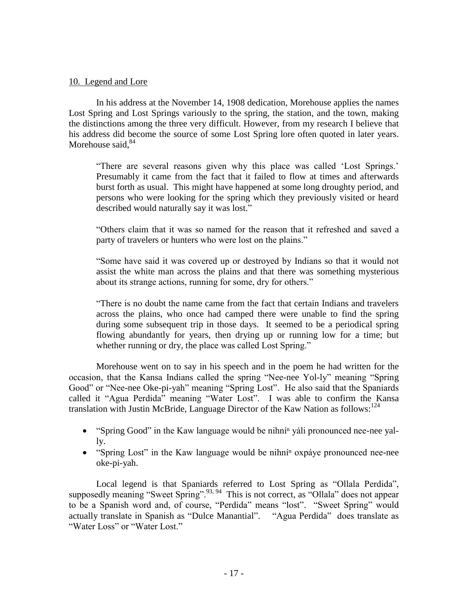#### 10. Legend and Lore

In his address at the November 14, 1908 dedication, Morehouse applies the names Lost Spring and Lost Springs variously to the spring, the station, and the town, making the distinctions among the three very difficult. However, from my research I believe that his address did become the source of some Lost Spring lore often quoted in later years. Morehouse said. $84$ 

"There are several reasons given why this place was called 'Lost Springs.' Presumably it came from the fact that it failed to flow at times and afterwards burst forth as usual. This might have happened at some long droughty period, and persons who were looking for the spring which they previously visited or heard described would naturally say it was lost."

"Others claim that it was so named for the reason that it refreshed and saved a party of travelers or hunters who were lost on the plains."

"Some have said it was covered up or destroyed by Indians so that it would not assist the white man across the plains and that there was something mysterious about its strange actions, running for some, dry for others."

"There is no doubt the name came from the fact that certain Indians and travelers across the plains, who once had camped there were unable to find the spring during some subsequent trip in those days. It seemed to be a periodical spring flowing abundantly for years, then drying up or running low for a time; but whether running or dry, the place was called Lost Spring."

Morehouse went on to say in his speech and in the poem he had written for the occasion, that the Kansa Indians called the spring "Nee-nee Yol-ly" meaning "Spring Good" or "Nee-nee Oke-pi-yah" meaning "Spring Lost". He also said that the Spaniards called it "Agua Perdida" meaning "Water Lost". I was able to confirm the Kansa translation with Justin McBride, Language Director of the Kaw Nation as follows:<sup>124</sup>

- "Spring Good" in the Kaw language would be nihní<sup>n</sup> yáli pronounced nee-nee yally.
- "Spring Lost" in the Kaw language would be nihni $n$  oxpáye pronounced nee-nee oke-pi-yah.

Local legend is that Spaniards referred to Lost Spring as "Ollala Perdida", supposedly meaning "Sweet Spring".<sup>93, 94</sup> This is not correct, as "Ollala" does not appear to be a Spanish word and, of course, "Perdida" means "lost". "Sweet Spring" would actually translate in Spanish as "Dulce Manantial". "Agua Perdida" does translate as "Water Loss" or "Water Lost."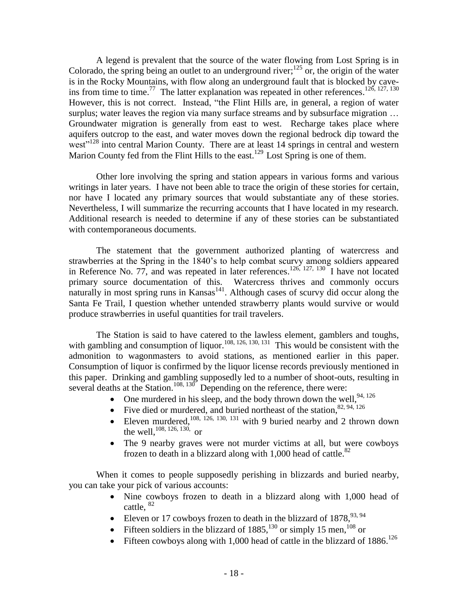A legend is prevalent that the source of the water flowing from Lost Spring is in Colorado, the spring being an outlet to an underground river;  $125$  or, the origin of the water is in the Rocky Mountains, with flow along an underground fault that is blocked by caveins from time to time.<sup>77</sup> The latter explanation was repeated in other references.<sup>126, 127, 130</sup> However, this is not correct. Instead, "the Flint Hills are, in general, a region of water surplus; water leaves the region via many surface streams and by subsurface migration ... Groundwater migration is generally from east to west. Recharge takes place where aquifers outcrop to the east, and water moves down the regional bedrock dip toward the west<sup>"128</sup> into central Marion County. There are at least 14 springs in central and western Marion County fed from the Flint Hills to the east.<sup>129</sup> Lost Spring is one of them.

Other lore involving the spring and station appears in various forms and various writings in later years. I have not been able to trace the origin of these stories for certain, nor have I located any primary sources that would substantiate any of these stories. Nevertheless, I will summarize the recurring accounts that I have located in my research. Additional research is needed to determine if any of these stories can be substantiated with contemporaneous documents.

The statement that the government authorized planting of watercress and strawberries at the Spring in the 1840's to help combat scurvy among soldiers appeared in Reference No. 77, and was repeated in later references.<sup>126, 127, 130</sup> I have not located primary source documentation of this. Watercress thrives and commonly occurs  $\frac{1}{2}$  naturally in most spring runs in Kansas<sup>141</sup>. Although cases of scurvy did occur along the Santa Fe Trail, I question whether untended strawberry plants would survive or would produce strawberries in useful quantities for trail travelers.

The Station is said to have catered to the lawless element, gamblers and toughs, with gambling and consumption of liquor.<sup>108, 126, 130, 131</sup> This would be consistent with the admonition to wagonmasters to avoid stations, as mentioned earlier in this paper. Consumption of liquor is confirmed by the liquor license records previously mentioned in this paper. Drinking and gambling supposedly led to a number of shoot-outs, resulting in several deaths at the Station.<sup>108, 130</sup> Depending on the reference, there were:

- One murdered in his sleep, and the body thrown down the well,  $94,126$
- Five died or murdered, and buried northeast of the station,  $82, 94, 126$
- Eleven murdered,  $108$ ,  $126$ ,  $130$ ,  $131$  with 9 buried nearby and 2 thrown down the well,  $^{108, 126, 130}$ , or
- The 9 nearby graves were not murder victims at all, but were cowboys frozen to death in a blizzard along with 1,000 head of cattle.<sup>82</sup>

When it comes to people supposedly perishing in blizzards and buried nearby, you can take your pick of various accounts:

- Nine cowboys frozen to death in a blizzard along with 1,000 head of cattle, 82
- Eleven or 17 cowboys frozen to death in the blizzard of  $1878$ ,  $93.94$
- Fifteen soldiers in the blizzard of  $1885$ ,  $130$  or simply 15 men,  $108$  or
- Fifteen cowboys along with 1,000 head of cattle in the blizzard of  $1886$ .<sup>126</sup>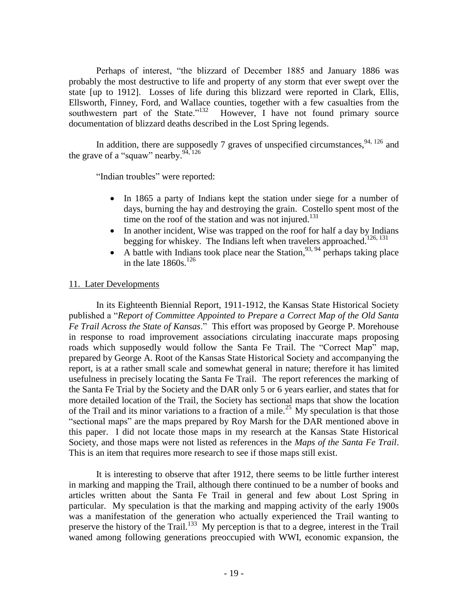Perhaps of interest, "the blizzard of December 1885 and January 1886 was probably the most destructive to life and property of any storm that ever swept over the state [up to 1912]. Losses of life during this blizzard were reported in Clark, Ellis, Ellsworth, Finney, Ford, and Wallace counties, together with a few casualties from the southwestern part of the State."<sup>132</sup> However, I have not found primary source documentation of blizzard deaths described in the Lost Spring legends.

In addition, there are supposedly 7 graves of unspecified circumstances,  $94,126$  and the grave of a "squaw" nearby.  $94,126$ 

"Indian troubles" were reported:

- In 1865 a party of Indians kept the station under siege for a number of days, burning the hay and destroying the grain. Costello spent most of the time on the roof of the station and was not injured.<sup>131</sup>
- In another incident, Wise was trapped on the roof for half a day by Indians begging for whiskey. The Indians left when travelers approached.<sup>126, 131</sup>
- A battle with Indians took place near the Station,  $93, 94$  perhaps taking place in the late  $1860s$ .<sup>126</sup>

# 11. Later Developments

In its Eighteenth Biennial Report, 1911-1912, the Kansas State Historical Society published a "*Report of Committee Appointed to Prepare a Correct Map of the Old Santa Fe Trail Across the State of Kansas*." This effort was proposed by George P. Morehouse in response to road improvement associations circulating inaccurate maps proposing roads which supposedly would follow the Santa Fe Trail. The "Correct Map" map, prepared by George A. Root of the Kansas State Historical Society and accompanying the report, is at a rather small scale and somewhat general in nature; therefore it has limited usefulness in precisely locating the Santa Fe Trail. The report references the marking of the Santa Fe Trial by the Society and the DAR only 5 or 6 years earlier, and states that for more detailed location of the Trail, the Society has sectional maps that show the location of the Trail and its minor variations to a fraction of a mile.<sup>25</sup> My speculation is that those "sectional maps" are the maps prepared by Roy Marsh for the DAR mentioned above in this paper. I did not locate those maps in my research at the Kansas State Historical Society, and those maps were not listed as references in the *Maps of the Santa Fe Trail*. This is an item that requires more research to see if those maps still exist.

It is interesting to observe that after 1912, there seems to be little further interest in marking and mapping the Trail, although there continued to be a number of books and articles written about the Santa Fe Trail in general and few about Lost Spring in particular. My speculation is that the marking and mapping activity of the early 1900s was a manifestation of the generation who actually experienced the Trail wanting to preserve the history of the Trail.<sup>133</sup> My perception is that to a degree, interest in the Trail waned among following generations preoccupied with WWI, economic expansion, the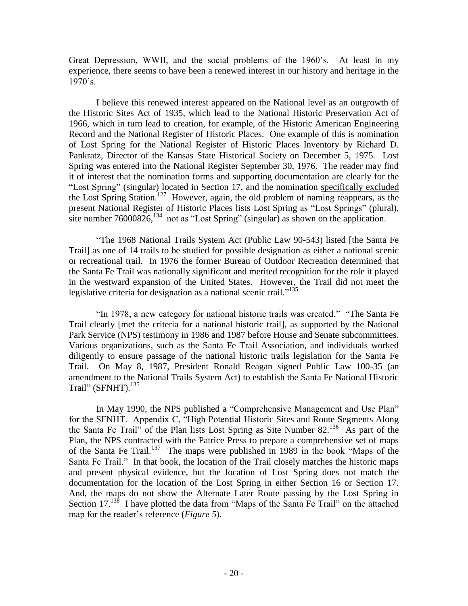Great Depression, WWII, and the social problems of the 1960's. At least in my experience, there seems to have been a renewed interest in our history and heritage in the 1970's.

I believe this renewed interest appeared on the National level as an outgrowth of the Historic Sites Act of 1935, which lead to the National Historic Preservation Act of 1966, which in turn lead to creation, for example, of the Historic American Engineering Record and the National Register of Historic Places. One example of this is nomination of Lost Spring for the National Register of Historic Places Inventory by Richard D. Pankratz, Director of the Kansas State Historical Society on December 5, 1975. Lost Spring was entered into the National Register September 30, 1976. The reader may find it of interest that the nomination forms and supporting documentation are clearly for the "Lost Spring" (singular) located in Section 17, and the nomination specifically excluded the Lost Spring Station.<sup>127</sup> However, again, the old problem of naming reappears, as the present National Register of Historic Places lists Lost Spring as "Lost Springs" (plural), site number  $76000826$ ,  $^{134}$  not as "Lost Spring" (singular) as shown on the application.

"The 1968 National Trails System Act (Public Law 90-543) listed [the Santa Fe Trail] as one of 14 trails to be studied for possible designation as either a national scenic or recreational trail. In 1976 the former Bureau of Outdoor Recreation determined that the Santa Fe Trail was nationally significant and merited recognition for the role it played in the westward expansion of the United States. However, the Trail did not meet the legislative criteria for designation as a national scenic trail."<sup>135</sup>

"In 1978, a new category for national historic trails was created." "The Santa Fe Trail clearly [met the criteria for a national historic trail], as supported by the National Park Service (NPS) testimony in 1986 and 1987 before House and Senate subcommittees. Various organizations, such as the Santa Fe Trail Association, and individuals worked diligently to ensure passage of the national historic trails legislation for the Santa Fe Trail. On May 8, 1987, President Ronald Reagan signed Public Law 100-35 (an amendment to the National Trails System Act) to establish the Santa Fe National Historic Trail" (SFNHT). $^{135}$ 

In May 1990, the NPS published a "Comprehensive Management and Use Plan" for the SFNHT. Appendix C, "High Potential Historic Sites and Route Segments Along the Santa Fe Trail" of the Plan lists Lost Spring as Site Number 82.<sup>136</sup> As part of the Plan, the NPS contracted with the Patrice Press to prepare a comprehensive set of maps of the Santa Fe Trail.<sup>137</sup> The maps were published in 1989 in the book "Maps of the Santa Fe Trail." In that book, the location of the Trail closely matches the historic maps and present physical evidence, but the location of Lost Spring does not match the documentation for the location of the Lost Spring in either Section 16 or Section 17. And, the maps do not show the Alternate Later Route passing by the Lost Spring in Section 17.<sup>138</sup> I have plotted the data from "Maps of the Santa Fe Trail" on the attached map for the reader's reference (*Figure 5*).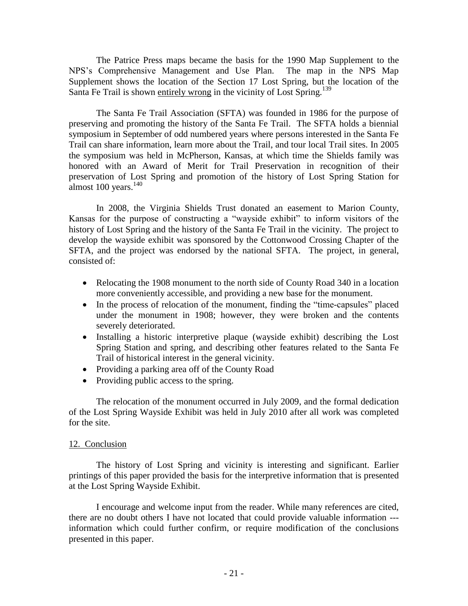The Patrice Press maps became the basis for the 1990 Map Supplement to the NPS's Comprehensive Management and Use Plan. The map in the NPS Map Supplement shows the location of the Section 17 Lost Spring, but the location of the Santa Fe Trail is shown entirely wrong in the vicinity of Lost Spring.<sup>139</sup>

The Santa Fe Trail Association (SFTA) was founded in 1986 for the purpose of preserving and promoting the history of the Santa Fe Trail. The SFTA holds a biennial symposium in September of odd numbered years where persons interested in the Santa Fe Trail can share information, learn more about the Trail, and tour local Trail sites. In 2005 the symposium was held in McPherson, Kansas, at which time the Shields family was honored with an Award of Merit for Trail Preservation in recognition of their preservation of Lost Spring and promotion of the history of Lost Spring Station for almost  $100$  years.<sup>140</sup>

In 2008, the Virginia Shields Trust donated an easement to Marion County, Kansas for the purpose of constructing a "wayside exhibit" to inform visitors of the history of Lost Spring and the history of the Santa Fe Trail in the vicinity. The project to develop the wayside exhibit was sponsored by the Cottonwood Crossing Chapter of the SFTA, and the project was endorsed by the national SFTA. The project, in general, consisted of:

- Relocating the 1908 monument to the north side of County Road 340 in a location more conveniently accessible, and providing a new base for the monument.
- In the process of relocation of the monument, finding the "time-capsules" placed under the monument in 1908; however, they were broken and the contents severely deteriorated.
- Installing a historic interpretive plaque (wayside exhibit) describing the Lost Spring Station and spring, and describing other features related to the Santa Fe Trail of historical interest in the general vicinity.
- Providing a parking area off of the County Road
- Providing public access to the spring.

The relocation of the monument occurred in July 2009, and the formal dedication of the Lost Spring Wayside Exhibit was held in July 2010 after all work was completed for the site.

# 12. Conclusion

The history of Lost Spring and vicinity is interesting and significant. Earlier printings of this paper provided the basis for the interpretive information that is presented at the Lost Spring Wayside Exhibit.

I encourage and welcome input from the reader. While many references are cited, there are no doubt others I have not located that could provide valuable information -- information which could further confirm, or require modification of the conclusions presented in this paper.